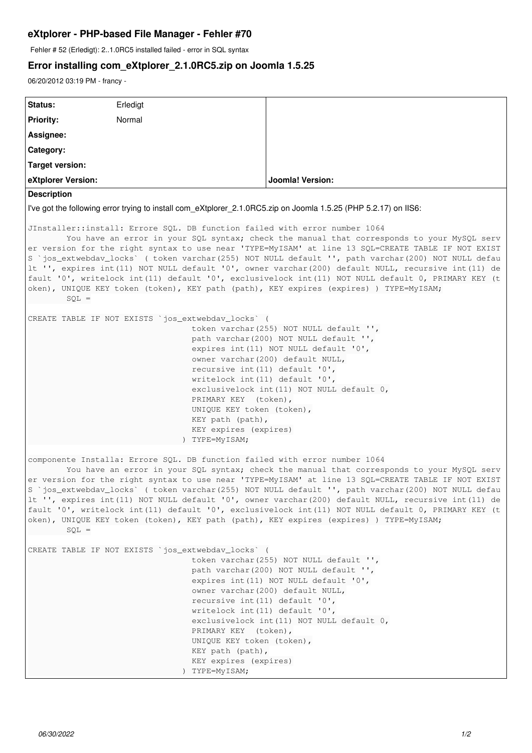## **eXtplorer - PHP-based File Manager - Fehler #70**

Fehler # 52 (Erledigt): 2..1.0RC5 installed failed - error in SQL syntax

## **Error installing com\_eXtplorer\_2.1.0RC5.zip on Joomla 1.5.25**

06/20/2012 03:19 PM - francy -

| Status:                                                                                                                                                                                                                                                                                                                                                                                                                                                                                                                                                                                                                                                                                                   | Erledigt |                         |
|-----------------------------------------------------------------------------------------------------------------------------------------------------------------------------------------------------------------------------------------------------------------------------------------------------------------------------------------------------------------------------------------------------------------------------------------------------------------------------------------------------------------------------------------------------------------------------------------------------------------------------------------------------------------------------------------------------------|----------|-------------------------|
| <b>Priority:</b>                                                                                                                                                                                                                                                                                                                                                                                                                                                                                                                                                                                                                                                                                          | Normal   |                         |
| Assignee:                                                                                                                                                                                                                                                                                                                                                                                                                                                                                                                                                                                                                                                                                                 |          |                         |
| Category:                                                                                                                                                                                                                                                                                                                                                                                                                                                                                                                                                                                                                                                                                                 |          |                         |
| <b>Target version:</b>                                                                                                                                                                                                                                                                                                                                                                                                                                                                                                                                                                                                                                                                                    |          |                         |
| eXtplorer Version:                                                                                                                                                                                                                                                                                                                                                                                                                                                                                                                                                                                                                                                                                        |          | <b>Joomla! Version:</b> |
| <b>Description</b>                                                                                                                                                                                                                                                                                                                                                                                                                                                                                                                                                                                                                                                                                        |          |                         |
| I've got the following error trying to install com_eXtplorer_2.1.0RC5.zip on Joomla 1.5.25 (PHP 5.2.17) on IIS6:                                                                                                                                                                                                                                                                                                                                                                                                                                                                                                                                                                                          |          |                         |
| JInstaller::install: Errore SQL. DB function failed with error number 1064<br>You have an error in your SQL syntax; check the manual that corresponds to your MySQL serv<br>er version for the right syntax to use near 'TYPE=MyISAM' at line 13 SQL=CREATE TABLE IF NOT EXIST<br>S `jos_extwebdav_locks` ( token varchar (255) NOT NULL default '', path varchar (200) NOT NULL defau<br>lt ", expires int (11) NOT NULL default '0', owner varchar (200) default NULL, recursive int (11) de<br>fault '0', writelock int(11) default '0', exclusivelock int(11) NOT NULL default 0, PRIMARY KEY (t<br>oken), UNIQUE KEY token (token), KEY path (path), KEY expires (expires) ) TYPE=MyISAM;<br>$SOL =$ |          |                         |
| CREATE TABLE IF NOT EXISTS `jos_extwebdav_locks` (<br>token varchar (255) NOT NULL default "',<br>path varchar(200) NOT NULL default '',<br>expires int(11) NOT NULL default '0',<br>owner varchar (200) default NULL,<br>recursive int (11) default '0',<br>writelock int (11) default '0',<br>exclusivelock int (11) NOT NULL default 0,<br>PRIMARY KEY (token),<br>UNIQUE KEY token (token),<br>KEY path (path),<br>KEY expires (expires)<br>) TYPE=MyISAM;                                                                                                                                                                                                                                            |          |                         |
| componente Installa: Errore SQL. DB function failed with error number 1064<br>You have an error in your SQL syntax; check the manual that corresponds to your MySQL serv<br>er version for the right syntax to use near 'TYPE=MyISAM' at line 13 SQL=CREATE TABLE IF NOT EXIST<br>S `jos_extwebdav_locks` ( token varchar (255) NOT NULL default '', path varchar (200) NOT NULL defau<br>It '', expires int(11) NOT NULL default '0', owner varchar(200) default NULL, recursive int(11) de<br>fault '0', writelock int (11) default '0', exclusivelock int (11) NOT NULL default 0, PRIMARY KEY (t<br>oken), UNIQUE KEY token (token), KEY path (path), KEY expires (expires) ) TYPE=MyISAM;<br>$SOL =$ |          |                         |
| CREATE TABLE IF NOT EXISTS `jos_extwebdav_locks` (<br>token varchar (255) NOT NULL default ",<br>path varchar (200) NOT NULL default "',<br>expires int (11) NOT NULL default '0',<br>owner varchar (200) default NULL,<br>recursive int (11) default '0',<br>writelock int (11) default '0',<br>exclusivelock int(11) NOT NULL default 0,<br>PRIMARY KEY (token),<br>UNIQUE KEY token (token),<br>KEY path (path),<br>KEY expires (expires)<br>) TYPE=MyISAM;                                                                                                                                                                                                                                            |          |                         |